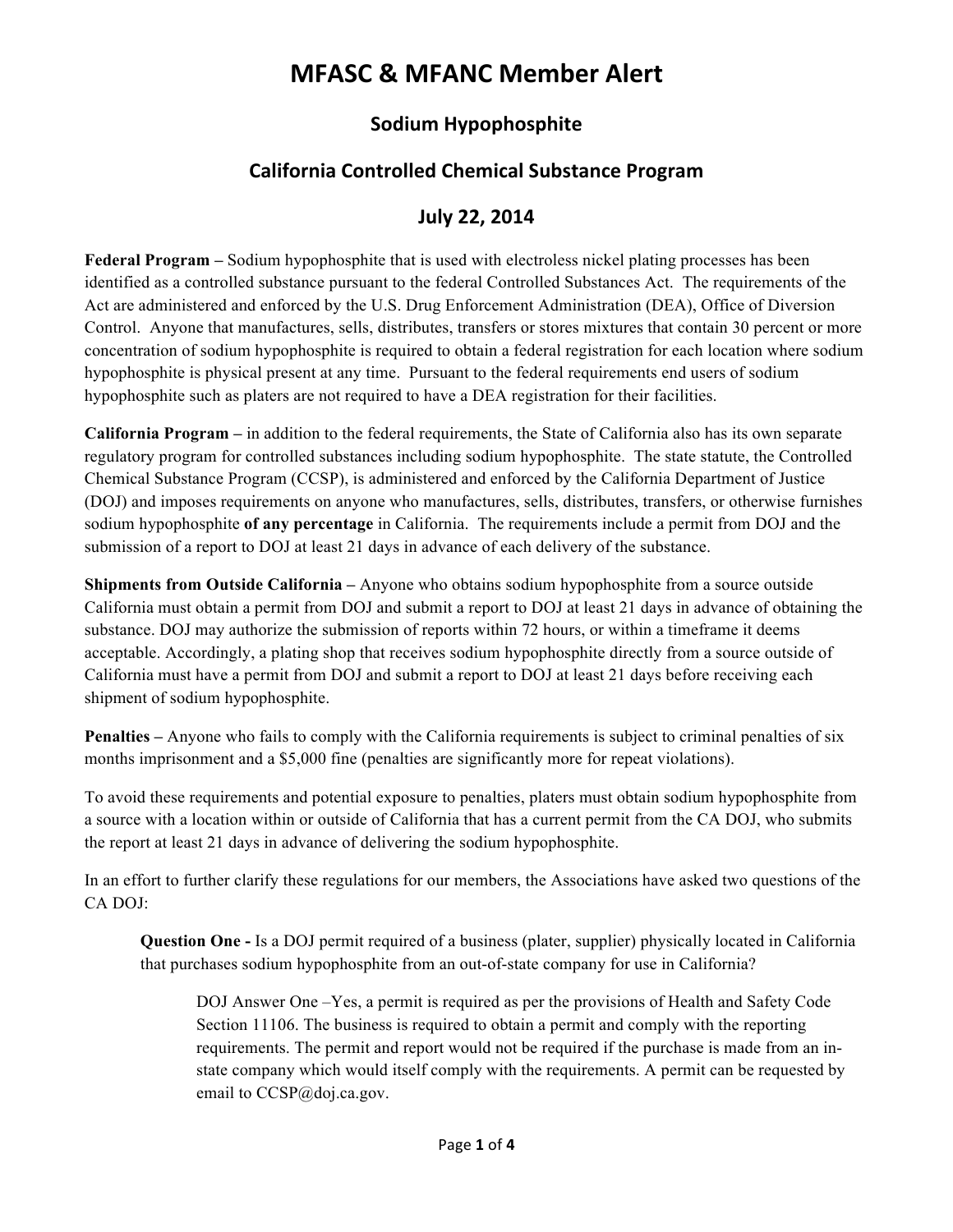# **MFASC & MFANC Member Alert**

## **Sodium Hypophosphite**

## **California Controlled Chemical Substance Program**

### **July 22, 2014**

**Federal Program –** Sodium hypophosphite that is used with electroless nickel plating processes has been identified as a controlled substance pursuant to the federal Controlled Substances Act. The requirements of the Act are administered and enforced by the U.S. Drug Enforcement Administration (DEA), Office of Diversion Control. Anyone that manufactures, sells, distributes, transfers or stores mixtures that contain 30 percent or more concentration of sodium hypophosphite is required to obtain a federal registration for each location where sodium hypophosphite is physical present at any time. Pursuant to the federal requirements end users of sodium hypophosphite such as platers are not required to have a DEA registration for their facilities.

**California Program –** in addition to the federal requirements, the State of California also has its own separate regulatory program for controlled substances including sodium hypophosphite. The state statute, the Controlled Chemical Substance Program (CCSP), is administered and enforced by the California Department of Justice (DOJ) and imposes requirements on anyone who manufactures, sells, distributes, transfers, or otherwise furnishes sodium hypophosphite **of any percentage** in California. The requirements include a permit from DOJ and the submission of a report to DOJ at least 21 days in advance of each delivery of the substance.

**Shipments from Outside California –** Anyone who obtains sodium hypophosphite from a source outside California must obtain a permit from DOJ and submit a report to DOJ at least 21 days in advance of obtaining the substance. DOJ may authorize the submission of reports within 72 hours, or within a timeframe it deems acceptable. Accordingly, a plating shop that receives sodium hypophosphite directly from a source outside of California must have a permit from DOJ and submit a report to DOJ at least 21 days before receiving each shipment of sodium hypophosphite.

**Penalties** – Anyone who fails to comply with the California requirements is subject to criminal penalties of six months imprisonment and a \$5,000 fine (penalties are significantly more for repeat violations).

To avoid these requirements and potential exposure to penalties, platers must obtain sodium hypophosphite from a source with a location within or outside of California that has a current permit from the CA DOJ, who submits the report at least 21 days in advance of delivering the sodium hypophosphite.

In an effort to further clarify these regulations for our members, the Associations have asked two questions of the CA DOJ:

**Question One -** Is a DOJ permit required of a business (plater, supplier) physically located in California that purchases sodium hypophosphite from an out-of-state company for use in California?

DOJ Answer One –Yes, a permit is required as per the provisions of Health and Safety Code Section 11106. The business is required to obtain a permit and comply with the reporting requirements. The permit and report would not be required if the purchase is made from an instate company which would itself comply with the requirements. A permit can be requested by email to CCSP@doj.ca.gov.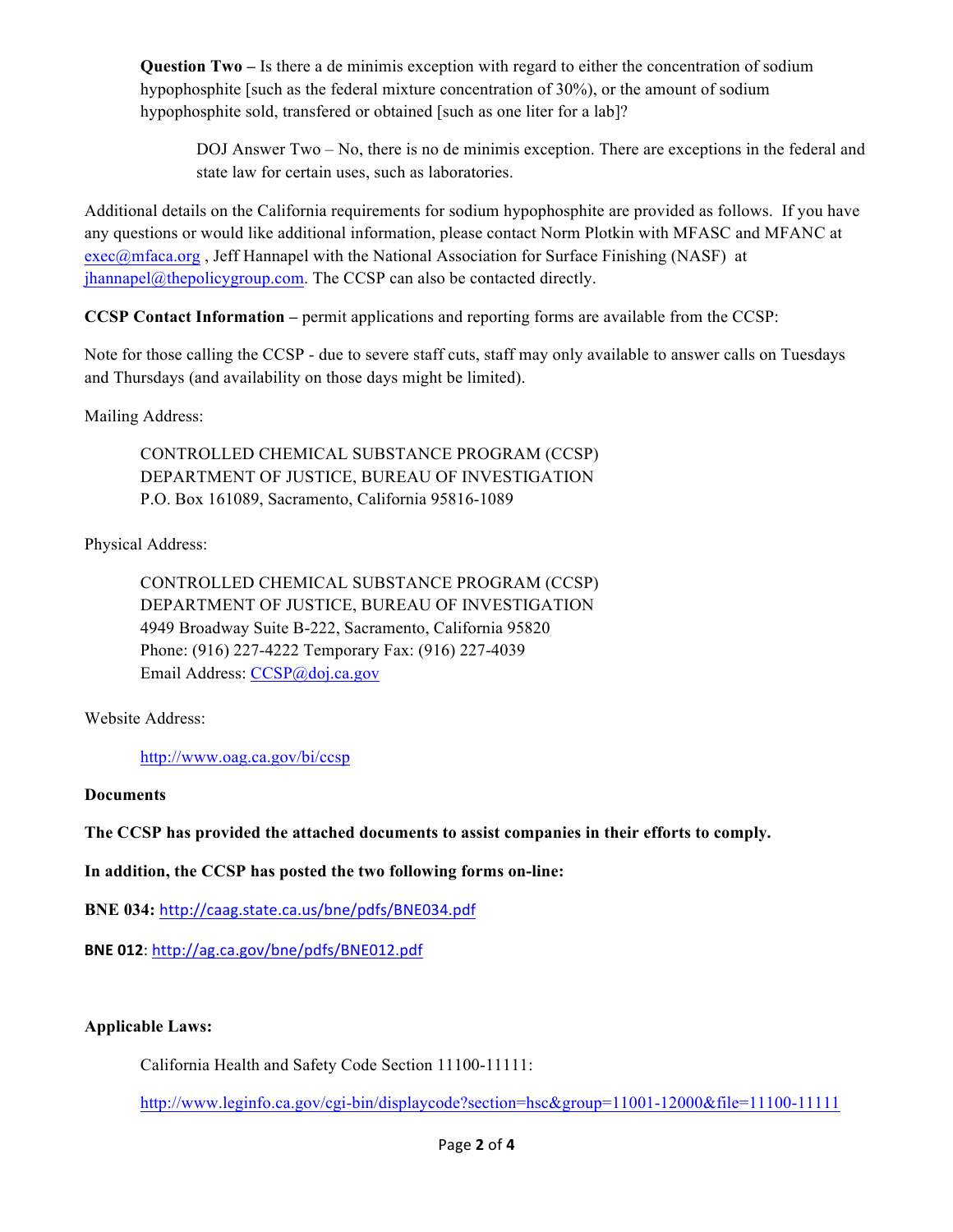**Question Two –** Is there a de minimis exception with regard to either the concentration of sodium hypophosphite [such as the federal mixture concentration of 30%), or the amount of sodium hypophosphite sold, transfered or obtained [such as one liter for a lab]?

DOJ Answer Two – No, there is no de minimis exception. There are exceptions in the federal and state law for certain uses, such as laboratories.

Additional details on the California requirements for sodium hypophosphite are provided as follows. If you have any questions or would like additional information, please contact Norm Plotkin with MFASC and MFANC at exec@mfaca.org , Jeff Hannapel with the National Association for Surface Finishing (NASF) at jhannapel@thepolicygroup.com. The CCSP can also be contacted directly.

**CCSP Contact Information –** permit applications and reporting forms are available from the CCSP:

Note for those calling the CCSP - due to severe staff cuts, staff may only available to answer calls on Tuesdays and Thursdays (and availability on those days might be limited).

Mailing Address:

CONTROLLED CHEMICAL SUBSTANCE PROGRAM (CCSP) DEPARTMENT OF JUSTICE, BUREAU OF INVESTIGATION P.O. Box 161089, Sacramento, California 95816-1089

Physical Address:

CONTROLLED CHEMICAL SUBSTANCE PROGRAM (CCSP) DEPARTMENT OF JUSTICE, BUREAU OF INVESTIGATION 4949 Broadway Suite B-222, Sacramento, California 95820 Phone: (916) 227-4222 Temporary Fax: (916) 227-4039 Email Address: CCSP@doj.ca.gov

Website Address:

http://www.oag.ca.gov/bi/ccsp

#### **Documents**

**The CCSP has provided the attached documents to assist companies in their efforts to comply.**

**In addition, the CCSP has posted the two following forms on-line:**

**BNE 034:** http://caag.state.ca.us/bne/pdfs/BNE034.pdf

**BNE 012**: http://ag.ca.gov/bne/pdfs/BNE012.pdf

#### **Applicable Laws:**

California Health and Safety Code Section 11100-11111:

http://www.leginfo.ca.gov/cgi-bin/displaycode?section=hsc&group=11001-12000&file=11100-11111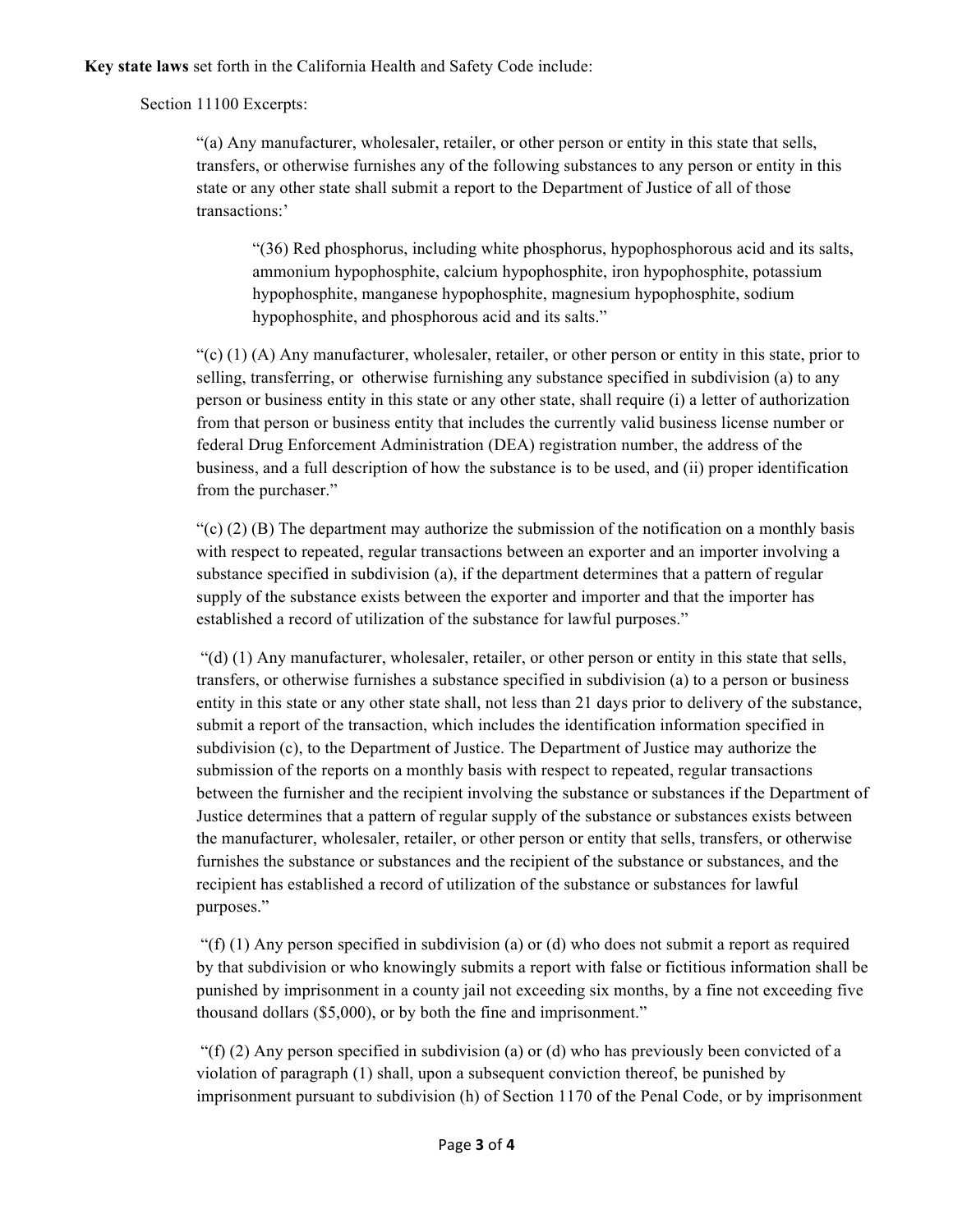**Key state laws** set forth in the California Health and Safety Code include:

#### Section 11100 Excerpts:

"(a) Any manufacturer, wholesaler, retailer, or other person or entity in this state that sells, transfers, or otherwise furnishes any of the following substances to any person or entity in this state or any other state shall submit a report to the Department of Justice of all of those transactions:'

"(36) Red phosphorus, including white phosphorus, hypophosphorous acid and its salts, ammonium hypophosphite, calcium hypophosphite, iron hypophosphite, potassium hypophosphite, manganese hypophosphite, magnesium hypophosphite, sodium hypophosphite, and phosphorous acid and its salts."

 $\mathcal{L}(\mathbf{c})$  (1) (A) Any manufacturer, wholesaler, retailer, or other person or entity in this state, prior to selling, transferring, or otherwise furnishing any substance specified in subdivision (a) to any person or business entity in this state or any other state, shall require (i) a letter of authorization from that person or business entity that includes the currently valid business license number or federal Drug Enforcement Administration (DEA) registration number, the address of the business, and a full description of how the substance is to be used, and (ii) proper identification from the purchaser."

 $\degree$ (c) (2) (B) The department may authorize the submission of the notification on a monthly basis with respect to repeated, regular transactions between an exporter and an importer involving a substance specified in subdivision (a), if the department determines that a pattern of regular supply of the substance exists between the exporter and importer and that the importer has established a record of utilization of the substance for lawful purposes."

 $"(d)$  (1) Any manufacturer, wholesaler, retailer, or other person or entity in this state that sells, transfers, or otherwise furnishes a substance specified in subdivision (a) to a person or business entity in this state or any other state shall, not less than 21 days prior to delivery of the substance, submit a report of the transaction, which includes the identification information specified in subdivision (c), to the Department of Justice. The Department of Justice may authorize the submission of the reports on a monthly basis with respect to repeated, regular transactions between the furnisher and the recipient involving the substance or substances if the Department of Justice determines that a pattern of regular supply of the substance or substances exists between the manufacturer, wholesaler, retailer, or other person or entity that sells, transfers, or otherwise furnishes the substance or substances and the recipient of the substance or substances, and the recipient has established a record of utilization of the substance or substances for lawful purposes."

"(f) (1) Any person specified in subdivision (a) or (d) who does not submit a report as required by that subdivision or who knowingly submits a report with false or fictitious information shall be punished by imprisonment in a county jail not exceeding six months, by a fine not exceeding five thousand dollars (\$5,000), or by both the fine and imprisonment."

"(f) (2) Any person specified in subdivision (a) or (d) who has previously been convicted of a violation of paragraph (1) shall, upon a subsequent conviction thereof, be punished by imprisonment pursuant to subdivision (h) of Section 1170 of the Penal Code, or by imprisonment